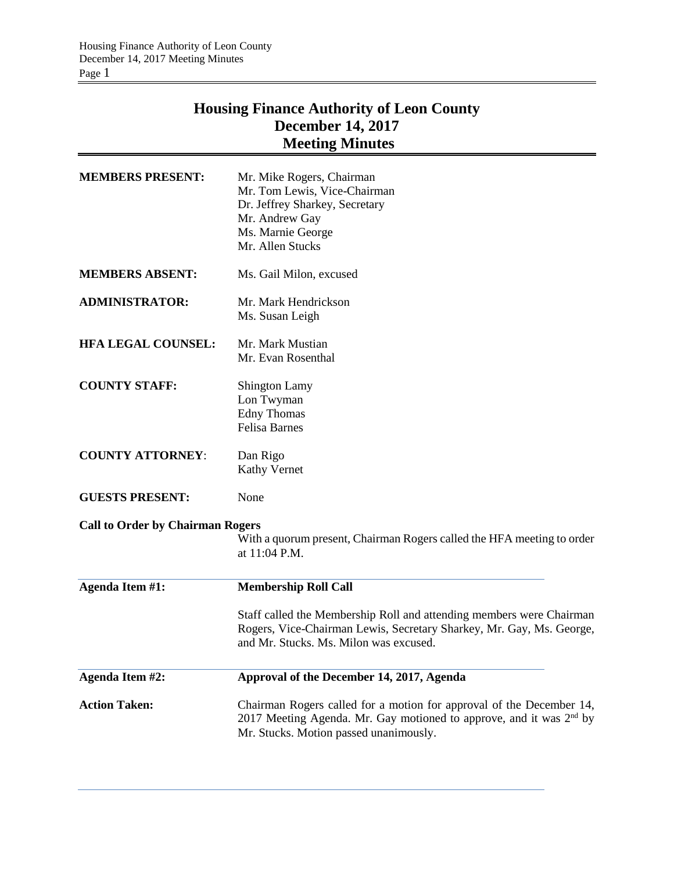# **Housing Finance Authority of Leon County December 14, 2017 Meeting Minutes**

| <b>MEMBERS PRESENT:</b>                 | Mr. Mike Rogers, Chairman<br>Mr. Tom Lewis, Vice-Chairman<br>Dr. Jeffrey Sharkey, Secretary<br>Mr. Andrew Gay<br>Ms. Marnie George<br>Mr. Allen Stucks                                            |  |  |
|-----------------------------------------|---------------------------------------------------------------------------------------------------------------------------------------------------------------------------------------------------|--|--|
| <b>MEMBERS ABSENT:</b>                  | Ms. Gail Milon, excused                                                                                                                                                                           |  |  |
| <b>ADMINISTRATOR:</b>                   | Mr. Mark Hendrickson<br>Ms. Susan Leigh                                                                                                                                                           |  |  |
| <b>HFA LEGAL COUNSEL:</b>               | Mr. Mark Mustian<br>Mr. Evan Rosenthal                                                                                                                                                            |  |  |
| <b>COUNTY STAFF:</b>                    | <b>Shington Lamy</b><br>Lon Twyman<br><b>Edny Thomas</b><br><b>Felisa Barnes</b>                                                                                                                  |  |  |
| <b>COUNTY ATTORNEY:</b>                 | Dan Rigo<br><b>Kathy Vernet</b>                                                                                                                                                                   |  |  |
| <b>GUESTS PRESENT:</b>                  | None                                                                                                                                                                                              |  |  |
| <b>Call to Order by Chairman Rogers</b> | With a quorum present, Chairman Rogers called the HFA meeting to order<br>at 11:04 P.M.                                                                                                           |  |  |
| <b>Agenda Item #1:</b>                  | <b>Membership Roll Call</b>                                                                                                                                                                       |  |  |
|                                         | Staff called the Membership Roll and attending members were Chairman<br>Rogers, Vice-Chairman Lewis, Secretary Sharkey, Mr. Gay, Ms. George,<br>and Mr. Stucks. Ms. Milon was excused.            |  |  |
| <b>Agenda Item #2:</b>                  | Approval of the December 14, 2017, Agenda                                                                                                                                                         |  |  |
| <b>Action Taken:</b>                    | Chairman Rogers called for a motion for approval of the December 14,<br>2017 Meeting Agenda. Mr. Gay motioned to approve, and it was 2 <sup>nd</sup> by<br>Mr. Stucks. Motion passed unanimously. |  |  |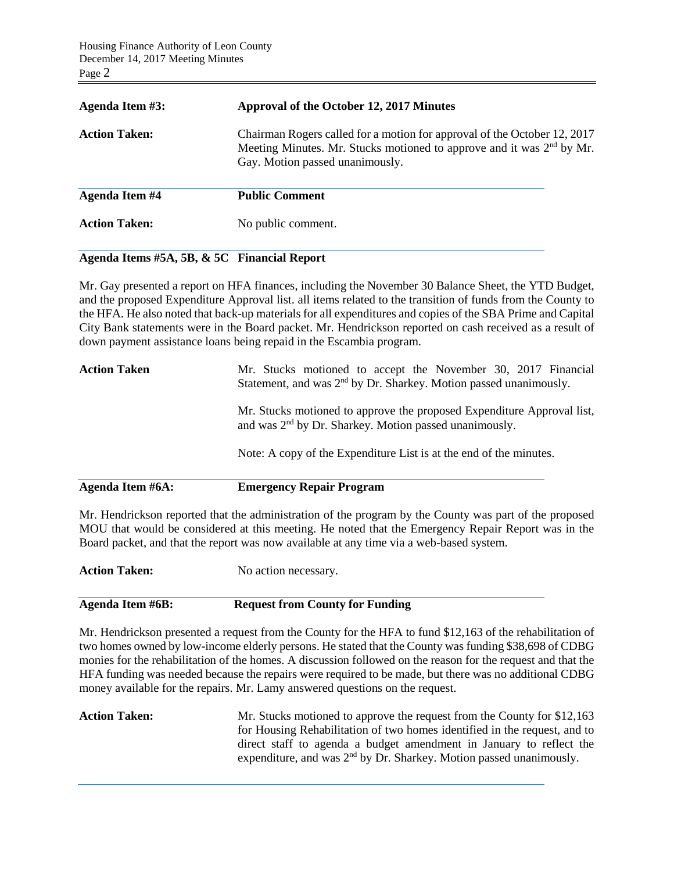| Agenda Item #3:       | Approval of the October 12, 2017 Minutes                                                                                                                                               |  |  |
|-----------------------|----------------------------------------------------------------------------------------------------------------------------------------------------------------------------------------|--|--|
| <b>Action Taken:</b>  | Chairman Rogers called for a motion for approval of the October 12, 2017<br>Meeting Minutes. Mr. Stucks motioned to approve and it was $2nd$ by Mr.<br>Gay. Motion passed unanimously. |  |  |
| <b>Agenda Item #4</b> | <b>Public Comment</b>                                                                                                                                                                  |  |  |
| <b>Action Taken:</b>  | No public comment.                                                                                                                                                                     |  |  |

## **Agenda Items #5A, 5B, & 5C Financial Report**

Mr. Gay presented a report on HFA finances, including the November 30 Balance Sheet, the YTD Budget, and the proposed Expenditure Approval list. all items related to the transition of funds from the County to the HFA. He also noted that back-up materials for all expenditures and copies of the SBA Prime and Capital City Bank statements were in the Board packet. Mr. Hendrickson reported on cash received as a result of down payment assistance loans being repaid in the Escambia program.

| Agenda Item #6A:    | <b>Emergency Repair Program</b>                                                                                                                |  |  |  |  |
|---------------------|------------------------------------------------------------------------------------------------------------------------------------------------|--|--|--|--|
|                     | Note: A copy of the Expenditure List is at the end of the minutes.                                                                             |  |  |  |  |
|                     | Mr. Stucks motioned to approve the proposed Expenditure Approval list,<br>and was 2 <sup>nd</sup> by Dr. Sharkey. Motion passed unanimously.   |  |  |  |  |
| <b>Action Taken</b> | Mr. Stucks motioned to accept the November 30, 2017 Financial<br>Statement, and was 2 <sup>nd</sup> by Dr. Sharkey. Motion passed unanimously. |  |  |  |  |

Mr. Hendrickson reported that the administration of the program by the County was part of the proposed MOU that would be considered at this meeting. He noted that the Emergency Repair Report was in the Board packet, and that the report was now available at any time via a web-based system.

**Action Taken:** No action necessary.

### **Agenda Item #6B: Request from County for Funding**

Mr. Hendrickson presented a request from the County for the HFA to fund \$12,163 of the rehabilitation of two homes owned by low-income elderly persons. He stated that the County was funding \$38,698 of CDBG monies for the rehabilitation of the homes. A discussion followed on the reason for the request and that the HFA funding was needed because the repairs were required to be made, but there was no additional CDBG money available for the repairs. Mr. Lamy answered questions on the request.

**Action Taken:** Mr. Stucks motioned to approve the request from the County for \$12,163 for Housing Rehabilitation of two homes identified in the request, and to direct staff to agenda a budget amendment in January to reflect the expenditure, and was 2<sup>nd</sup> by Dr. Sharkey. Motion passed unanimously.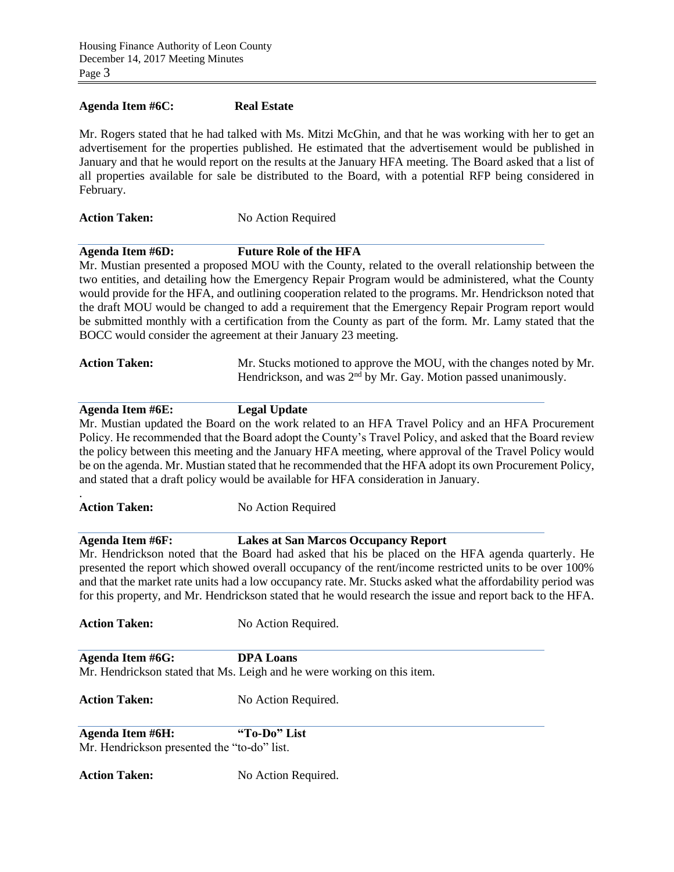#### **Agenda Item #6C: Real Estate**

Mr. Rogers stated that he had talked with Ms. Mitzi McGhin, and that he was working with her to get an advertisement for the properties published. He estimated that the advertisement would be published in January and that he would report on the results at the January HFA meeting. The Board asked that a list of all properties available for sale be distributed to the Board, with a potential RFP being considered in February.

### **Action Taken:** No Action Required

**Agenda Item #6D: Future Role of the HFA**

Mr. Mustian presented a proposed MOU with the County, related to the overall relationship between the two entities, and detailing how the Emergency Repair Program would be administered, what the County would provide for the HFA, and outlining cooperation related to the programs. Mr. Hendrickson noted that the draft MOU would be changed to add a requirement that the Emergency Repair Program report would be submitted monthly with a certification from the County as part of the form. Mr. Lamy stated that the BOCC would consider the agreement at their January 23 meeting.

| <b>Action Taken:</b> | Mr. Stucks motioned to approve the MOU, with the changes noted by Mr. |  |  |  |
|----------------------|-----------------------------------------------------------------------|--|--|--|
|                      | Hendrickson, and was $2nd$ by Mr. Gay. Motion passed unanimously.     |  |  |  |

#### **Agenda Item #6E: Legal Update**

Mr. Mustian updated the Board on the work related to an HFA Travel Policy and an HFA Procurement Policy. He recommended that the Board adopt the County's Travel Policy, and asked that the Board review the policy between this meeting and the January HFA meeting, where approval of the Travel Policy would be on the agenda. Mr. Mustian stated that he recommended that the HFA adopt its own Procurement Policy, and stated that a draft policy would be available for HFA consideration in January.

#### Action Taken: No Action Required

## **Agenda Item #6F: Lakes at San Marcos Occupancy Report**

Mr. Hendrickson noted that the Board had asked that his be placed on the HFA agenda quarterly. He presented the report which showed overall occupancy of the rent/income restricted units to be over 100% and that the market rate units had a low occupancy rate. Mr. Stucks asked what the affordability period was for this property, and Mr. Hendrickson stated that he would research the issue and report back to the HFA.

.

Action Taken: No Action Required.

| <b>Agenda Item #6G:</b> | <b>DPA Loans</b>                                                        |  |  |
|-------------------------|-------------------------------------------------------------------------|--|--|
|                         | Mr. Hendrickson stated that Ms. Leigh and he were working on this item. |  |  |

Action Taken: No Action Required.

**Agenda Item #6H: "To-Do" List** Mr. Hendrickson presented the "to-do" list.

Action Taken: No Action Required.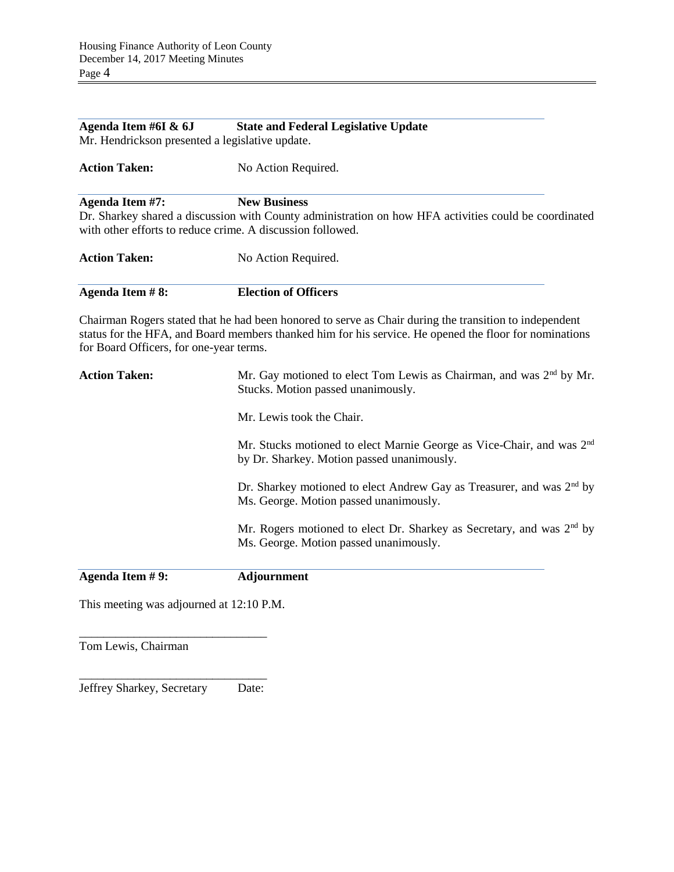| Agenda Item #6I & 6J<br>Mr. Hendrickson presented a legislative update.       | <b>State and Federal Legislative Update</b>                                                                                                                                                                      |
|-------------------------------------------------------------------------------|------------------------------------------------------------------------------------------------------------------------------------------------------------------------------------------------------------------|
| <b>Action Taken:</b>                                                          | No Action Required.                                                                                                                                                                                              |
| Agenda Item #7:<br>with other efforts to reduce crime. A discussion followed. | <b>New Business</b><br>Dr. Sharkey shared a discussion with County administration on how HFA activities could be coordinated                                                                                     |
| <b>Action Taken:</b>                                                          | No Action Required.                                                                                                                                                                                              |
| Agenda Item #8:                                                               | <b>Election of Officers</b>                                                                                                                                                                                      |
| for Board Officers, for one-year terms.                                       | Chairman Rogers stated that he had been honored to serve as Chair during the transition to independent<br>status for the HFA, and Board members thanked him for his service. He opened the floor for nominations |
| <b>Action Taken:</b>                                                          | Mr. Gay motioned to elect Tom Lewis as Chairman, and was $2nd$ by Mr.<br>Stucks. Motion passed unanimously.                                                                                                      |
|                                                                               | Mr. Lewis took the Chair.                                                                                                                                                                                        |
|                                                                               | Mr. Stucks motioned to elect Marnie George as Vice-Chair, and was 2 <sup>nd</sup><br>by Dr. Sharkey. Motion passed unanimously.                                                                                  |
|                                                                               | Dr. Sharkey motioned to elect Andrew Gay as Treasurer, and was 2 <sup>nd</sup> by<br>Ms. George. Motion passed unanimously.                                                                                      |
|                                                                               | Mr. Rogers motioned to elect Dr. Sharkey as Secretary, and was $2nd$ by<br>Ms. George. Motion passed unanimously.                                                                                                |
| Agenda Item #9:                                                               | <b>Adjournment</b>                                                                                                                                                                                               |

This meeting was adjourned at 12:10 P.M.

Tom Lewis, Chairman

\_\_\_\_\_\_\_\_\_\_\_\_\_\_\_\_\_\_\_\_\_\_\_\_\_\_\_\_\_\_\_ Jeffrey Sharkey, Secretary Date:

\_\_\_\_\_\_\_\_\_\_\_\_\_\_\_\_\_\_\_\_\_\_\_\_\_\_\_\_\_\_\_